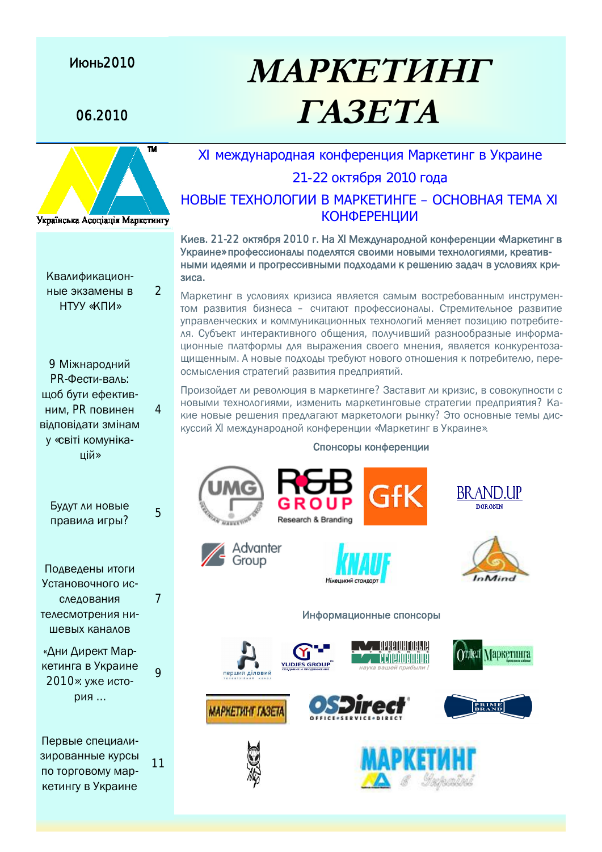### **Июнь2010**

# 06.2010 *TA3ETA*



Квалификационные экзамены в НТУУ «КПИ»

 $\mathfrak{D}$ 

4

5

7

 $\overline{Q}$ 

11

9 Міжнародний РR-Фести-валь: шоб бути ефективним, PR повинен відповідати змінам у «світі комунікапій»

Будут ли новые правила игры?

Подведены итоги Установочного исследования телесмотрения нишевых каналов

«Дни Директ Маркетинга в Украине 2010»: уже история ...

Первые специализированные курсы по торговому маркетингу в Украине

## XI международная конференция Маркетинг в Украине

**MAPKETVIHIT** 

### 21-22 октября 2010 года

### НОВЫЕ ТЕХНОЛОГИИ В МАРКЕТИНГЕ – ОСНОВНАЯ ТЕМА XI КОНФЕРЕНЦИИ

Киев. 21-22 октября 2010 г. На XI Международной конференции «Маркетинг в Украине» профессионалы поделятся своими новыми технологиями, креатив-НЫМИ ИДЕЯМИ И ПРОГРЕССИВНЫМИ ПОДХОДАМИ К РЕШЕНИЮ ЗАДАЧ В УСЛОВИЯХ КРИзиса.

Маркетинг в условиях кризиса является самым востребованным инструментом развития бизнеса – считают профессионалы. Стремительное развитие үправленческих и коммуникационных технологий меняет позицию потребителя. Субъект интерактивного общения, получивший разнообразные информа-ЦИОННЫЕ ПЛАТФОРМЫ ДЛЯ ВЫРАЖЕНИЯ СВОЕГО МНЕНИЯ, ЯВЛЯЕТСЯ КОНКУРЕНТОЗАщищенным. А новые подходы требуют нового отношения к потребителю, пере-ОСМЫСЛЕНИЯ СТРАТЕГИЙ РАЗВИТИЯ ПРЕДПРИЯТИЙ.

Произойдет ли революция в маркетинге? Заставит ли кризис, в совокупности с новыми технологиями, изменить маркетинговые стратегии предприятия? Какие новые решения предлагают маркетологи рынку? Это основные темы дискуссий XI международной конференции «Маркетинг в Украине».

#### Спонсоры конференции



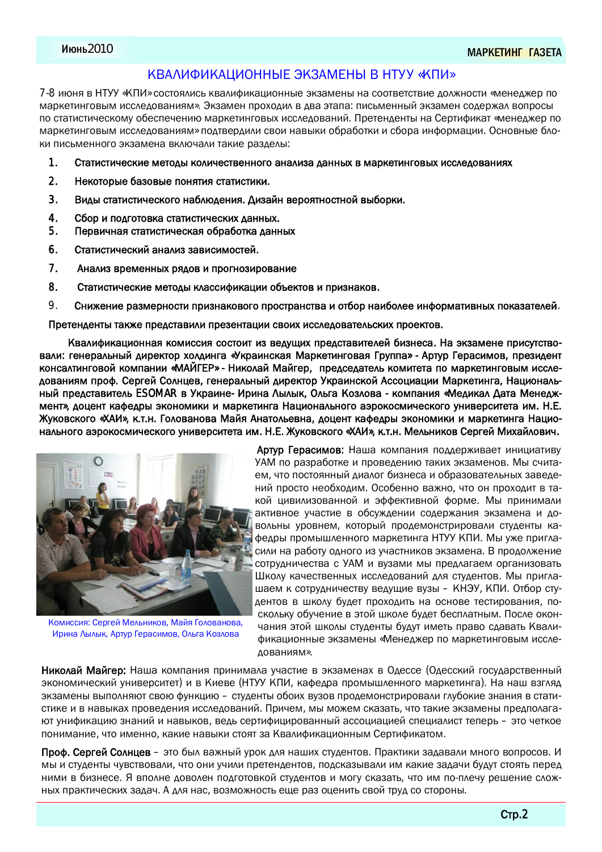### КВАЛИФИКАЦИОННЫЕ ЭКЗАМЕНЫ В НТУУ «КПИ»

7-8 июня в НТУУ «КПИ» состоялись квалификационные экзамены на соответствие должности «менеджер по Маркетинговым исследованиям». Экзамен проходил в два этапа: письменный экзамен содержал вопросы по статистическому обеспечению маркетинговых исследований. Претенденты на Сертификат «менеджер по ǸǬǼǶDZǾǴǹǯǺǮȇǸǴǽǽǷDZǰǺǮǬǹǴȋǸ» ǻǺǰǾǮDZǼǰǴǷǴǽǮǺǴǹǬǮȇǶǴǺǭǼǬǭǺǾǶǴǴǽǭǺǼǬǴǹȀǺǼǸǬȂǴǴ. ǚǽǹǺǮǹȇDZǭǷǺ-КИ ПИСЬМЕННОГО ЭКЗАМЕНА ВКЛЮЧАЛИ ТАКИЕ РАЗДЕЛЫ:

- 1. Статистические методы количественного анализа данных в маркетинговых исследованиях
- 2. Некоторые базовые понятия статистики.
- 3. Виды статистического наблюдения. Дизайн вероятностной выборки.
- 4. Сбор и подготовка статистических данных.
- 5. Первичная статистическая обработка данных
- 6. Статистический анализ зависимостей.
- 7. Анализ временных рядов и прогнозирование
- 8. Статистические методы классификации объектов и признаков.
- 9. Снижение размерности признакового пространства и отбор наиболее информативных показателей.

Претенденты также представили презентации своих исследовательских проектов.

Квалификационная комиссия состоит из ведущих представителей бизнеса. На экзамене присутствовали: генеральный директор холдинга «Украинская Маркетинговая Группа» - Артур Герасимов, президент консалтинговой компании «МАЙГЕР» - Николай Майгер, председатель комитета по маркетинговым исследованиям проф. Сергей Солнцев, генеральный директор Украинской Ассоциации Маркетинга, Национальный представитель ESOMAR в Украине- Ирина Лылык, Ольга Козлова - компания «Медикал Дата Менедж-МЕНТ», ДОЦЕНТ КАФЕДДЫ ЭКОНОМИКИ И МАРКЕТИНГА НАЦИОНАЛЬНОГО АЭРОКОСМИЧЕСКОГО VНИВЕРСИТЕТА ИМ. Н.Е. Жуковского «ХАИ», к.т.н. Голованова Майя Анатольевна, доцент кафедры экономики и маркетинга Национального аэрокосмического университета им. Н.Е. Жуковского «ХАИ», к.т.н. Мельников Сергей Михайлович.



Комиссия: Сергей Мельников, Майя Голованова, Ирина Лылык, Артур Герасимов, Ольга Козлова

Артур Герасимов: Наша компания поддерживает инициативу УАМ по разработке и проведению таких экзаменов. Мы считаем, что постоянный диалог бизнеса и образовательных заведений просто необходим. Особенно важно, что он проходит в такой цивилизованной и эффективной форме. Мы принимали активное участие в обсуждении содержания экзамена и довольны уровнем, который продемонстрировали студенты кафедры промышленного маркетинга НТУУ КПИ. Мы уже пригласили на работу одного из участников экзамена. В продолжение сотрудничества с УАМ и вузами мы предлагаем организовать Школу качественных исследований для студентов. Мы приглашаем к сотрудничеству ведущие вузы – КНЭУ, КПИ. Отбор сту-Дентов в школу будет проходить на основе тестирования, поскольку обучение в этой школе будет бесплатным. После окончания этой школы студенты будут иметь право сдавать Квалификационные экзамены «Менеджер по маркетинговым иссле- $\Delta$ ОВАНИЯМ».

Николай Майгер: Наша компания принимала участие в экзаменах в Одессе (Одесский государственный экономический университет) и в Киеве (НТУУ КПИ, кафедра промышленного маркетинга). На наш взгляд экзамены выполняют свою функцию – студенты обоих вузов продемонстрировали глубокие знания в статистике и в навыках проведения исследований. Причем, мы можем сказать, что такие экзамены предполагают үнификацию знаний и навыков, ведь сертифицированный ассоциацией специалист теперь - это четкое понимание, что именно, какие навыки стоят за Квалификационным Сертификатом.

Проф. Сергей Солнцев – это был важный урок для наших студентов. Практики задавали много вопросов. И мы и студенты чувствовали, что они учили претендентов, подсказывали им какие задачи будут стоять перед ними в бизнесе. Я вполне доволен подготовкой студентов и могу сказать, что им по-плечу решение сложных практических задач. А для нас, возможность еще раз оценить свой труд со стороны.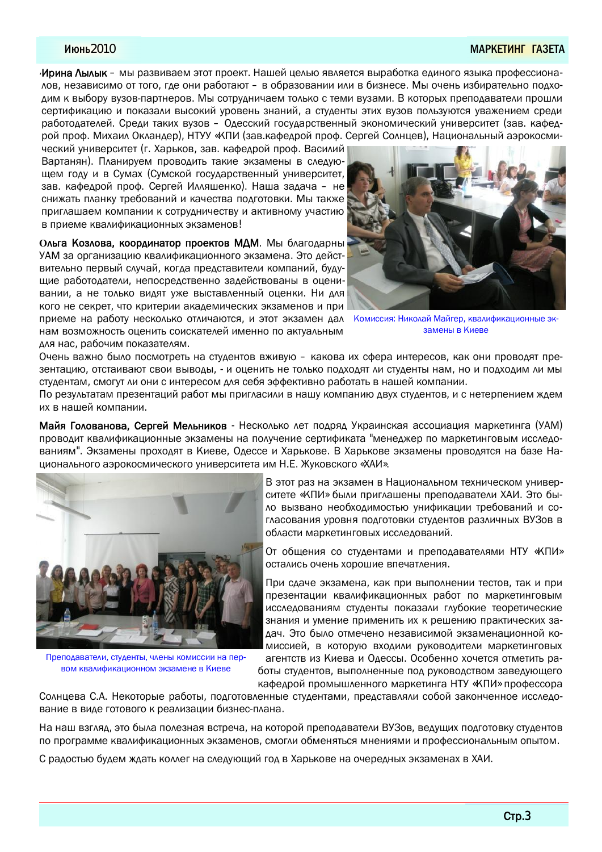#### ǔȊǹȈ2010 ǘnjǜǖǑǞǔǙǏ ǏnjǓǑǞnj

Ирина Лылык – мы развиваем этот проект. Нашей целью является выработка единого языка профессиона-ЛОВ, независимо от того, где они работают – в образовании или в бизнесе. Мы очень избирательно подходим к выбору вузов-партнеров. Мы сотрудничаем только с теми вузами. В которых преподаватели прошли сертификацию и показали высокий уровень знаний, а студенты этих вузов пользуются уважением среди работодателей. Среди таких вузов – Одесский государственный экономический университет (зав. кафедрой проф. Михаил Окландер), НТУУ «КПИ (зав.кафедрой проф. Сергей Солнцев), Национальный аэрокосми-

ческий университет (г. Харьков, зав. кафедрой проф. Василий Вартанян). Планируем проводить такие экзамены в следующем году и в Сумах (Сумской государственный университет, зав. кафедрой проф. Сергей Илляшенко). Наша задача – не снижать планку требований и качества подготовки. Мы также приглашаем компании к сотрудничеству и активному участию в приеме квалификационных экзаменов!

Ольга Козлова, координатор проектов МДМ. Мы благодарны УАМ за организацию квалификационного экзамена. Это действительно первый случай, когда представители компаний, буду-ЩИЕ РАбОТОДАТЕЛИ, НЕПОСРЕДСТВЕННО ЗАДЕЙСТВОВАНЫ В ОЦЕНИвании, а не только видят уже выставленный оценки. Ни для кого не секрет, что критерии академических экзаменов и при приеме на работу несколько отличаются, и этот экзамен дал нам возможность оценить соискателей именно по актуальным



Комиссия: Николай Майгер, квалификационные экзамены в Киеве

Очень важно было посмотреть на студентов вживую – какова их сфера интересов, как они проводят презентацию, отстаивают свои выводы, - и оценить не только подходят ли студенты нам, но и подходим ли мы студентам, смогут ли они с интересом для себя эффективно работать в нашей компании.

По результатам презентаций работ мы пригласили в нашу компанию двух студентов, и с нетерпением ждем их в нашей компании.

Майя Голованова, Сергей Мельников - Несколько лет подряд Украинская ассоциация маркетинга (УАМ) проводит квалификационные экзамены на получение сертификата "менеджер по маркетинговым исследованиям". Экзамены проходят в Киеве. Одессе и Харькове. В Харькове экзамены проводятся на базе Национального аэрокосмического университета им Н.Е. Жуковского «ХАИ».



для нас, рабочим показателям.

Преподаватели, студенты, члены комиссии на первом квалификационном экзамене в Киеве

В этот раз на экзамен в Национальном техническом университете «КПИ» были приглашены преподаватели ХАИ. Это было вызвано необходимостью унификации требований и согласования уровня подготовки студентов различных ВУЗов в области маркетинговых исследований.

От общения со студентами и преподавателями НТУ «КПИ» остались очень хорошие впечатления.

При сдаче экзамена, как при выполнении тестов, так и при презентации квалификационных работ по маркетинговым исследованиям студенты показали глубокие теоретические знания и умение применить их к решению практических задач. Это было отмечено независимой экзаменационной комиссией, в которую входили руководители маркетинговых агентств из Киева и Одессы. Особенно хочется отметить ра-

боты студентов, выполненные под руководством заведующего кафедрой промышленного маркетинга HTY «КПИ» профессора

Солнцева С.А. Некоторые работы, подготовленные студентами, представляли собой законченное исследование в виде готового к реализации бизнес-плана.

На наш взгляд, это была полезная встреча, на которой преподаватели ВУЗов, ведущих подготовку студентов по программе квалификационных экзаменов, смогли обменяться мнениями и профессиональным опытом.

С радостью будем ждать коллег на следующий год в Харькове на очередных экзаменах в ХАИ.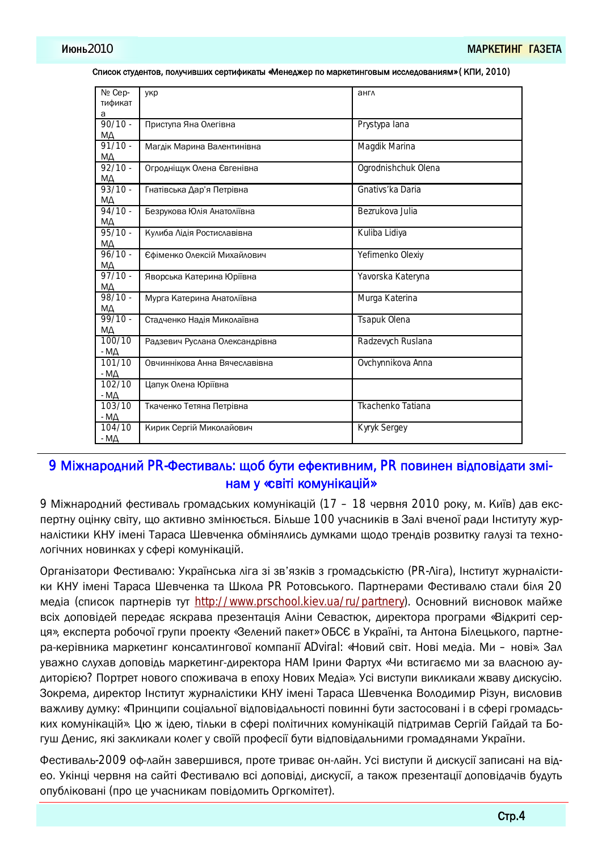| Nº Cep-                | укр                            | англ                |
|------------------------|--------------------------------|---------------------|
| тификат                |                                |                     |
| а                      |                                |                     |
| $90/10 -$              | Приступа Яна Олегівна          | Prystypa lana       |
| MД                     |                                |                     |
| $91/10 -$              | Магдік Марина Валентинівна     | Magdik Marina       |
| МΔ                     |                                |                     |
| $92/10 -$              | Огродніщук Олена Євгенівна     | Ogrodnishchuk Olena |
|                        |                                |                     |
| $M\Delta$<br>$93/10 -$ |                                |                     |
|                        | Гнатівська Дар'я Петрівна      | Gnativs'ka Daria    |
| МД                     |                                |                     |
| $94/10 -$              | Безрукова Юлія Анатоліївна     | Bezrukova Julia     |
| МД                     |                                |                     |
| $95/10 -$              | Кулиба Лідія Ростиславівна     | Kuliba Lidiya       |
| МД                     |                                |                     |
| $96/10 -$              | Єфіменко Олексій Михайлович    | Yefimenko Olexiy    |
| <u>МД</u>              |                                |                     |
| $97/10 -$              | Яворська Катерина Юріївна      | Yavorska Kateryna   |
| МД                     |                                |                     |
| $98/10 -$              | Мурга Катерина Анатоліївна     | Murga Katerina      |
| MΔ                     |                                |                     |
| $99/10 -$              | Стадченко Надія Миколаївна     | Tsapuk Olena        |
| МД                     |                                |                     |
| 100/10                 | Радзевич Руслана Олександрівна | Radzevych Ruslana   |
| - $MA$                 |                                |                     |
| 101/10                 | Овчиннікова Анна Вячеславівна  | Ovchynnikova Anna   |
|                        |                                |                     |
| - MA                   |                                |                     |
| 102/10                 | Цапук Олена Юріївна            |                     |
| $-M\Delta$             |                                |                     |
| 103/10                 | Ткаченко Тетяна Петрівна       | Tkachenko Tatiana   |
| $-M\Delta$             |                                |                     |
| 104/10                 | Кирик Сергій Миколайович       | Kyryk Sergey        |
| - MД                   |                                |                     |

Список студентов, получивших сертификаты «Менеджер по маркетинговым исследованиям» (КПИ, 2010)

## 9 Міжнародний PR-Фестиваль: щоб бути ефективним, PR повинен відповідати змінам у «світі комунікацій»

9 Міжнародний фестиваль громадських комунікацій (17 – 18 червня 2010 року, м. Київ) дав експертну оцінку світу, що активно змінюється. Більше 100 учасників в Залі вченої ради Інституту журналістики КНУ імені Тараса Шевченка обмінялись думками щодо трендів розвитку галузі та технологічних новинках у сфері комунікацій.

Організатори Фестивалю: Українська ліга зі зв'язків з громадськістю (PR-Ліга), Інститут журналістики КНУ імені Тараса Шевченка та Школа PR Ротовського. Партнерами Фестивалю стали біля 20 медіа (список партнерів тут [http://www.prschool.kiev.ua/ru/partnery\).](http://www.prschool.kiev.ua/ru/partnery).) Основний висновок майже всіх доповідей передає яскрава презентація Аліни Севастюк, директора програми «Відкриті серця», експерта робочої групи проекту «Зелений пакет» ОБСЄ в Україні, та Антона Білецького, партнера-керівника маркетинг консалтингової компанії ADviral: «Новий світ. Нові медіа. Ми – нові». Зал уважно слухав доповідь маркетинг-директора НАМ Ірини Фартух «Чи встигаємо ми за власною аудиторією? Портрет нового споживача в епоху Нових Медіа». Усі виступи викликали жваву дискусію. Зокрема, директор Інститут журналістики КНУ імені Тараса Шевченка Володимир Різун, висловив важливу думку: «Принципи соціальної відповідальності повинні бути застосовані і в сфері громадських комунікацій». Цю ж ідею, тільки в сфері політичних комунікацій підтримав Сергій Гайдай та Богуш Денис, які закликали колег у своїй професії бути відповідальними громадянами України.

Фестиваль-2009 оф-лайн завершився, проте триває он-лайн. Усі виступи й дискусії записані на відео. Укінці червня на сайті Фестивалю всі доповіді, дискусії, а також презентації доповідачів будуть опубліковані (про це учасникам повідомить Оргкомітет).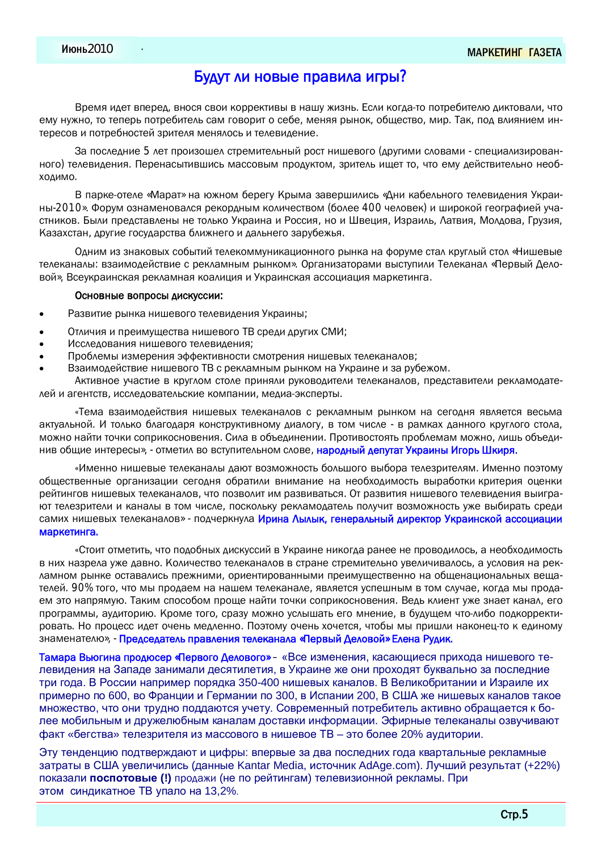### Будут ли новые правила игры?

Время идет вперед, внося свои коррективы в нашу жизнь. Если когда-то потребителю диктовали, что ему нужно, то теперь потребитель сам говорит о себе, меняя рынок, общество, мир. Так, под влиянием интересов и потребностей зрителя менялось и телевидение.

За последние 5 лет произошел стремительный рост нишевого (другими словами - специализированного) телевидения. Перенасытившись массовым продуктом, зритель ищет то, что ему действительно необ-ХОДИМО.

В парке-отеле «Марат» на южном берегу Крыма завершились «Дни кабельного телевидения Украины-2010». Форум ознаменовался рекордным количеством (более 400 человек) и широкой географией участников. Были представлены не только Украина и Россия, но и Швеция, Израиль, Латвия, Молдова, Грузия, Казахстан, другие государства ближнего и дальнего зарубежья.

Одним из знаковых событий телекоммуникационного рынка на форуме стал круглый стол «Нишевые телеканалы: взаимодействие с рекламным рынком». Организаторами выступили Телеканал «Первый Деловой», Всеукраинская рекламная коалиция и Украинская ассоциация маркетинга.

#### Основные вопросы дискуссии:

- Развитие рынка нишевого телевидения Украины;
- Отличия и преимущества нишевого ТВ среди других СМИ;
- Исследования нишевого телевидения;
- Проблемы измерения эффективности смотрения нишевых телеканалов;
- Взаимодействие нишевого ТВ с рекламным рынком на Украине и за рубежом.

Активное участие в круглом столе приняли руководители телеканалов, представители рекламодателей и агентств, исследовательские компании, медиа-эксперты.

«Тема взаимодействия нишевых телеканалов с рекламным рынком на сегодня является весьма актуальной. И только благодаря конструктивному диалогу, в том числе - в рамках данного круглого стола, можно найти точки соприкосновения. Сила в объединении. Противостоять проблемам можно, лишь объеди-НИВ Общие интересы», - отметил во вступительном слове, народный депутат Украины Игорь Шкиря.

«Именно нишевые телеканалы дают возможность большого выбора телезрителям. Именно поэтому общественные организации сегодня обратили внимание на необходимость выработки критерия оценки рейтингов нишевых телеканалов, что позволит им развиваться. От развития нишевого телевидения выигра-ЮТ ТЕЛЕЗДИТЕЛИ И КАНАЛЫ В ТОМ ЧИСЛЕ, ПОСКОЛЬКУ ДЕКЛАМОДАТЕЛЬ ПОЛУЧИТ ВОЗМОЖНОСТЬ УЖЕ ВЫбИРАТЬ СРЕДИ самих нишевых телеканалов» - подчеркнула Ирина Лылык, генеральный директор Украинской ассоциации маркетинга.

«Стоит отметить, что подобных дискуссий в Украине никогда ранее не проводилось, а необходимость в них назрела уже давно. Количество телеканалов в стране стремительно увеличивалось, а условия на рек-Ламном рынке оставались прежними, ориентированными преимущественно на общенациональных вещателей. 90% того, что мы продаем на нашем телеканале, является успешным в том случае, когда мы продаем это напрямую. Таким способом проще найти точки соприкосновения. Ведь клиент уже знает канал, его программы, аудиторию. Кроме того, сразу можно услышать его мнение, в будущем что-либо подкорректировать. Но процесс идет очень медленно. Поэтому очень хочется, чтобы мы пришли наконец-то к единому знаменателю», - Председатель правления телеканала «Первый Деловой» Елена Рудик.

Тамара Вьюгина продюсер «Первого Делового» – «Все изменения, касающиеся прихода нишевого телевидения на Западе занимали десятилетия, в Украине же они проходят буквально за последние три года. В России например порядка 350-400 нишевых каналов. В Великобритании и Израиле их примерно по 600, во Франции и Германии по 300, в Испании 200, В США же нишевых каналов такое множество, что они трудно поддаются учету. Современный потребитель активно обращается к более мобильным и дружелюбным каналам доставки информации. Эфирные телеканалы озвучивают факт «бегства» телезрителя из массового в нишевое ТВ - это более 20% аудитории.

Эту тенденцию подтверждают и цифры: впервые за два последних года квартальные рекламные затраты в США увеличились (данные Kantar Media, источник AdAge.com). Лучший результат (+22%) показали поспотовые (!) продажи (не по рейтингам) телевизионной рекламы. При этом синдикатное ТВ упало на 13,2%.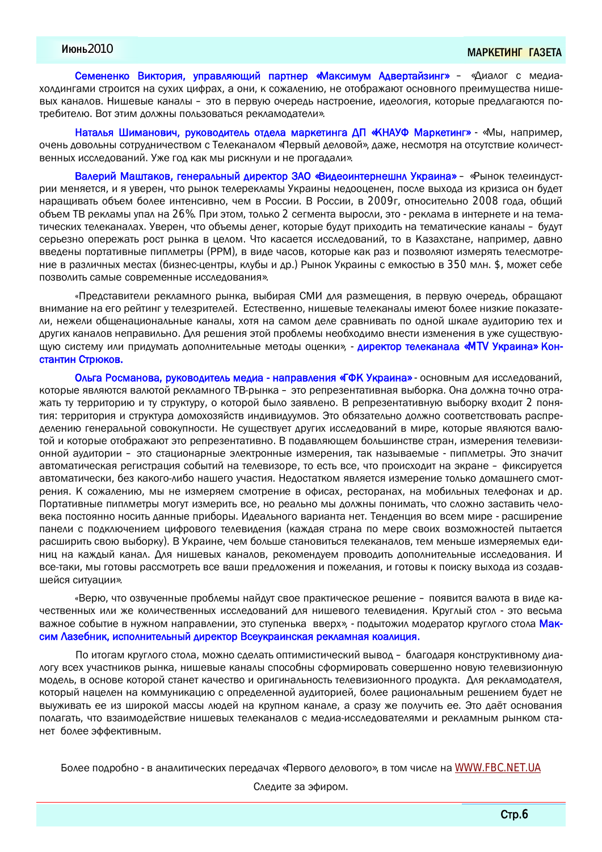Семененко Виктория, управляющий партнер «Максимум Адвертайзинг» – «Диалог с медиахолдингами строится на сухих цифрах, а они, к сожалению, не отображают основного преимущества нишевых каналов. Нишевые каналы – это в первую очередь настроение, идеология, которые предлагаются потребителю. Вот этим должны пользоваться рекламодатели».

Наталья Шиманович, руководитель отдела маркетинга ДП «КНАУФ Маркетинг» - «Мы, например, очень довольны сотрудничеством с Телеканалом «Первый деловой», даже, несмотря на отсутствие количественных исследований. Уже год как мы рискнули и не прогадали».

Валерий Маштаков, генеральный директор ЗАО «Видеоинтернешнл Украина» – «Рынок телеиндустрии меняется, и я уверен, что рынок телерекламы Украины недооценен, после выхода из кризиса он будет наращивать объем более интенсивно, чем в России. В России, в 2009г, относительно 2008 года, общий объем ТВ рекламы упал на 26%. При этом, только 2 сегмента выросли, это - реклама в интернете и на тематических телеканалах. Уверен, что объемы денег, которые будут приходить на тематические каналы – будут серьезно опережать рост рынка в целом. Что касается исследований, то в Казахстане, например, давно введены портативные пиплметры (PPM), в виде часов, которые как раз и позволяют измерять телесмотрение в различных местах (бизнес-центры, клубы и др.) Рынок Украины с емкостью в 350 млн. \$, может себе ПОЗВОЛИТЬ САМЫЕ СОВРЕМЕННЫЕ ИССЛЕДОВАНИЯ».

«Представители рекламного рынка, выбирая СМИ для размещения, в первую очередь, обращают внимание на его рейтинг у телезрителей. Естественно, нишевые телеканалы имеют более низкие показате-ЛИ, НЕЖЕЛИ Общенациональные каналы, хотя на самом деле сравнивать по одной шкале аудиторию тех и других каналов неправильно. Для решения этой проблемы необходимо внести изменения в уже существующую систему или придумать дополнительные методы оценки», - директор телеканала «МТV Украина» Константин Стрюков.

Ольга Росманова, руководитель медиа - направления «ГФК Украина» - основным для исследований, которые являются валютой рекламного ТВ-рынка – это репрезентативная выборка. Она должна точно отражать ту территорию и ту структуру, о которой было заявлено. В репрезентативную выборку входит 2 понятия: территория и структура домохозяйств индивидуумов. Это обязательно должно соответствовать распределению генеральной совокупности. Не существует других исследований в мире, которые являются валютой и которые отображают это репрезентативно. В подавляющем большинстве стран, измерения телевизионной аудитории – это стационарные электронные измерения, так называемые - пиплметры. Это значит автоматическая регистрация событий на телевизоре, то есть все, что происходит на экране – фиксируется автоматически, без какого-либо нашего участия. Недостатком является измерение только домашнего смотрения. К сожалению, мы не измеряем смотрение в офисах, ресторанах, на мобильных телефонах и др. Портативные пиплметры могут измерить все, но реально мы должны понимать, что сложно заставить человека постоянно носить данные приборы. Идеального варианта нет. Тенденция во всем мире - расширение панели с подключением цифрового телевидения (каждая страна по мере своих возможностей пытается расширить свою выборку). В Украине, чем больше становиться телеканалов, тем меньше измеряемых еди-НИЦ НА КАЖДЫЙ КАНА ИЭД ИЗДОВ, РЕКОМЕНДУЕМ ПРОВОДИТЬ ДОПОЛНИТЕЛЬНЫЕ ИССЛЕДОВАНИЯ. И все-таки, мы готовы рассмотреть все ваши предложения и пожелания, и готовы к поиску выхода из создавшейся ситуации».

«Верю, что озвученные проблемы найдут свое практическое решение – появится валюта в виде качественных или же количественных исследований для нишевого телевидения. Круглый стол - это весьма важное событие в нужном направлении, это ступенька вверх», - подытожил модератор круглого стола Максим Лазебник, исполнительный директор Всеукраинская рекламная коалиция.

По итогам круглого стола, можно сделать оптимистический вывод – благодаря конструктивному диа-ЛОГУ ВСЕХ УЧАСТНИКОВ РЫНКА, НИШЕВЫЕ КАНАЛЫ СПОСОбНЫ СФОРМИРОВАТЬ СОВЕРШЕННО НОВУЮ ТЕЛЕВИЗИОННУЮ модель, в основе которой станет качество и оригинальность телевизионного продукта. Для рекламодателя, который нацелен на коммуникацию с определенной аудиторией, более рациональным решением будет не выуживать ее из широкой массы людей на крупном канале, а сразу же получить ее. Это даёт основания полагать, что взаимодействие нишевых телеканалов с медиа-исследователями и рекламным рынком станет более эффективным.

Более подробно - в аналитических передачах «Первого делового», в том числе на [WWW.FBC.NET.UA](http://WWW.FBC.NET.UA)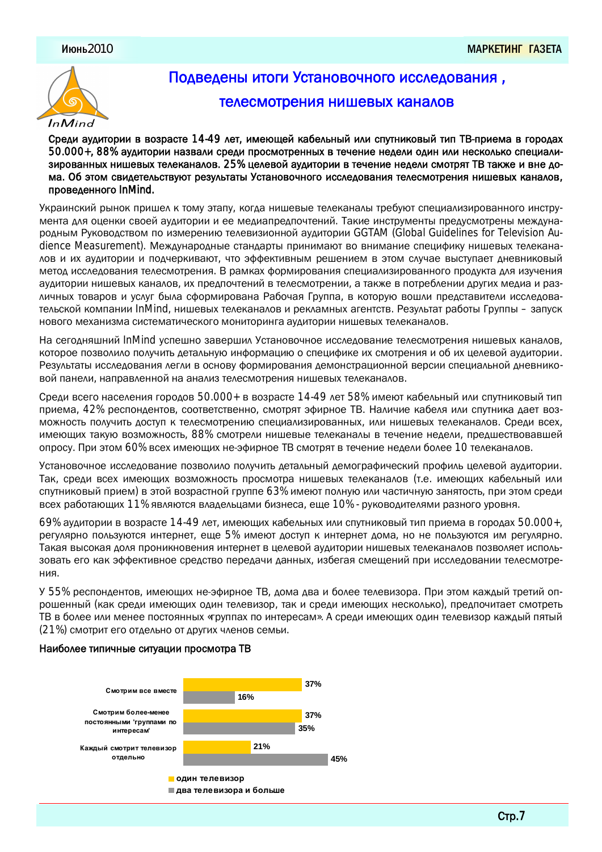

# Подведены итоги Установочного исследования,

### телесмотрения нишевых каналов

Среди аудитории в возрасте 14-49 лет, имеющей кабельный или спутниковый тип ТВ-приема в городах 50.000+, 88% аудитории назвали среди просмотренных в течение недели один или несколько специализированных нишевых телеканалов. 25% целевой аудитории в течение недели смотрят ТВ также и вне дома. Об этом свидетельствуют результаты Установочного исследования телесмотрения нишевых каналов, проведенного InMind.

Украинский рынок пришел к тому этапу, когда нишевые телеканалы требуют специализированного инструмента для оценки своей аудитории и ее медиапредпочтений. Такие инструменты предусмотрены международным Руководством по измерению телевизионной аудитории GGTAM (Global Guidelines for Television Audience Measurement). Международные стандарты принимают во внимание специфику нишевых телекана-ЛОВ И ИХ АУДИТОРИИ И ПОДЧЕРКИВАЮТ, ЧТО ЭФФЕКТИВНЫМ РЕШЕНИЕМ В ЭТОМ СЛУЧАЕ ВЫСТУПАЕТ ДНЕВНИКОВЫЙ метод исследования телесмотрения. В рамках формирования специализированного продукта для изучения аудитории нишевых каналов, их предпочтений в телесмотрении, а также в потреблении других медиа и раз-ЛИЧНЫХ ТОВАРОВ И УСЛУГ была сформирована Рабочая Группа, в которую вошли представители исследовательской компании InMind, нишевых телеканалов и рекламных агентств. Результат работы Группы – запуск НОВОГО МЕХАНИЗМА СИСТЕМАТИЧЕСКОГО МОНИТОРИНГА АУДИТОРИИ НИШЕВЫХ ТЕЛЕКАНАЛОВ.

На сегодняшний InMind успешно завершил Установочное исследование телесмотрения нишевых каналов. которое позволило получить детальную информацию о специфике их смотрения и об их целевой аудитории. Результаты исследования легли в основу формирования демонстрационной версии специальной дневниковой панели, направленной на анализ телесмотрения нишевых телеканалов.

Среди всего населения городов 50.000+ в возрасте 14-49 лет 58% имеют кабельный или спутниковый тип приема, 42% респондентов, соответственно, смотрят эфирное ТВ. Наличие кабеля или спутника дает возможность получить доступ к телесмотрению специализированных, или нишевых телеканалов. Среди всех, имеющих такую возможность, 88% смотрели нишевые телеканалы в течение недели, предшествовавшей опросу. При этом 60% всех имеющих не-эфирное ТВ смотрят в течение недели более 10 телеканалов.

Установочное исследование позволило получить детальный демографический профиль целевой аудитории. Так, среди всех имеющих возможность просмотра нишевых телеканалов (т.е. имеющих кабельный или спутниковый прием) в этой возрастной группе 63% имеют полную или частичную занятость, при этом среди всех работающих 11% являются владельцами бизнеса, еще 10% - руководителями разного уровня.

69% аудитории в возрасте 14-49 лет, имеющих кабельных или спутниковый тип приема в городах 50.000+, регулярно пользуются интернет, еще 5% имеют доступ к интернет дома, но не пользуются им регулярно. Такая высокая доля проникновения интернет в целевой аудитории нишевых телеканалов позволяет использовать его как эффективное средство передачи данных, избегая смещений при исследовании телесмотрения.

У 55% респондентов, имеющих не-эфирное ТВ, дома два и более телевизора. При этом каждый третий опрошенный (как среди имеющих один телевизор, так и среди имеющих несколько), предпочитает смотреть ТВ в более или менее постоянных «группах по интересам». А среди имеющих один телевизор каждый пятый (21%) смотрит его отдельно от других членов семьи.

#### Наиболее типичные ситуации просмотра ТВ

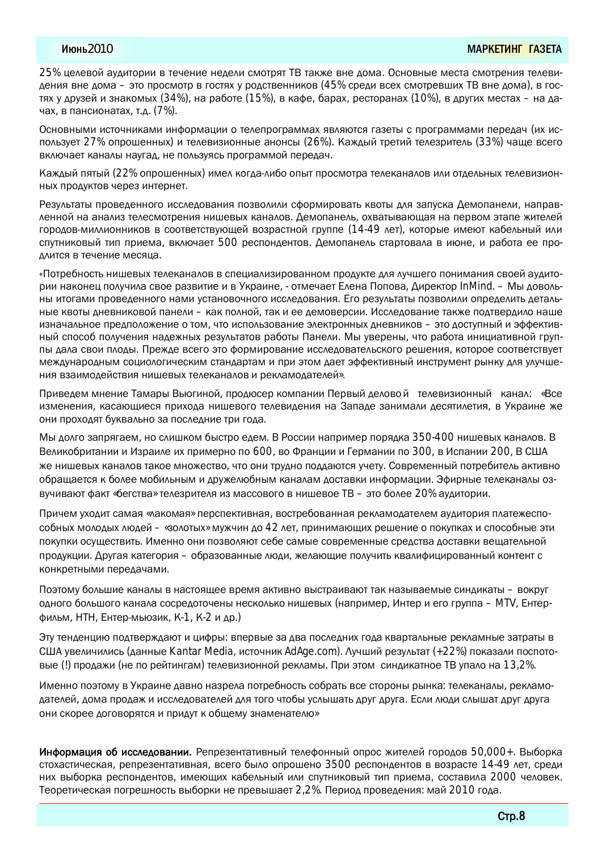25% целевой аудитории в течение недели смотрят ТВ также вне дома. Основные места смотрения телевидения вне дома – это просмотр в гостях у родственников (45% среди всех смотревших ТВ вне дома), в гостях у друзей и знакомых (34%), на работе (15%), в кафе, барах, ресторанах (10%), в других местах – на дачах, в пансионатах, т.д. (7%).

Основными источниками информации о телепрограммах являются газеты с программами передач (их использует 27% опрошенных) и телевизионные анонсы (26%). Каждый третий телезритель (33%) чаще всего включает каналы наугад, не пользуясь программой передач.

Каждый пятый (22% опрошенных) имел когда-либо опыт просмотра телеканалов или отдельных телевизион-НЫХ ПРОДУКТОВ ЧЕРЕЗ ИНТЕРНЕТ.

Результаты проведенного исследования позволили сформировать квоты для запуска Демопанели, направленной на анализ телесмотрения нишевых каналов. Демопанель, охватывающая на первом этапе жителей городов-миллионников в соответствующей возрастной группе (14-49 лет), которые имеют кабельный или спутниковый тип приема, включает 500 респондентов. Демопанель стартовала в июне, и работа ее продлится в течение месяца.

«Потребность нишевых телеканалов в специализированном продукте для лучшего понимания своей аудитории наконец получила свое развитие и в Украине, - отмечает Елена Попова, Директор InMind. – Мы довольны итогами проведенного нами установочного исследования. Его результаты позволили определить детальные квоты дневниковой панели – как полной, так и ее демоверсии. Исследование также подтвердило наше изначальное предположение о том, что использование электронных дневников - это доступный и эффективный способ получения надежных результатов работы Панели. Мы уверены, что работа инициативной груп-ПЫ ДАЛА СВОИ ПЛОДЫ. ПРЕЖДЕ ВСЕГО ЭТО ФОРМИРОВАНИЕ ИССЛЕДОВАТЕЛЬСКОГО РЕШЕНИЯ, КОТОРОЕ СООТВЕТСТВУЕТ МЕЖДУНА ДОДИВДА СОДИОД ДАВ ТОЛДА ДА ПРИ ЭТО ДА ДА ДА ДА ДА ДОДИ ДОДИ В ДА И ДЛЯ ЧА ЧИДЕ. НИЯ ВЗАИМОДЕЙСТВИЯ НИШЕВЫХ ТЕЛЕКАНАЛОВ И ДЕКЛАМОДАТЕЛЕЙ».

Приведем мнение Тамары Вьюгиной, продюсер компании Первый деловой телевизионный канал: «Все изменения, касающиеся прихода нишевого телевидения на Западе занимали десятилетия, в Украине же они проходят буквально за последние три года.

Мы долго запрягаем, но слишком быстро едем. В России например порядка 350-400 нишевых каналов. В Великобритании и Израиле их примерно по 600, во Франции и Германии по 300, в Испании 200, В США ЖЕ НИШЕВЫХ КАНАЛОВ ТАКОЄ МНОЖЕСТВО, ЧТО ОНИ ТРУДНО ПОДДАЮТСЯ УЧЕТУ. СОВРЕМЕННЫЙ ПОТРЕбИТЕЛЬ АКТИВНО обращается к более мобильным и дружелюбным каналам доставки информации. Эфирные телеканалы озвучивают факт «бегства» телезрителя из массового в нишевое ТВ – это более 20% аудитории.

Причем уходит самая «лакомая» перспективная, востребованная рекламодателем аудитория платежеспособных молодых людей – «золотых» мужчин до 42 лет, принимающих решение о покупках и способные эти покупки осуществить. Именно они позволяют себе самые современные средства доставки вещательной продукции. Другая категория – образованные люди, желающие получить квалифицированный контент с конкретными передачами.

Поэтому большие каналы в настоящее время активно выстраивают так называемые синдикаты – вокруг одного большого канала сосредоточены несколько нишевых (например, Интер и его группа – MTV, Ентерфильм, НТН, Ентер-мьюзик, К-1, К-2 и др.)

Эту тенденцию подтверждают и цифры: впервые за два последних года квартальные рекламные затраты в США увеличились (данные Kantar Media, источник AdAge.com). Лучший результат (+22%) показали поспотовые (!) продажи (не по рейтингам) телевизионной рекламы. При этом синдикатное ТВ упало на 13,2%.

Именно поэтому в Украине давно назрела потребность собрать все стороны рынка: телеканалы, рекламодателей, дома продаж и исследователей для того чтобы услышать друг друга. Если люди слышат друг друга они скорее договорятся и придут к общему знаменателю»

Информация об исследовании. Репрезентативный телефонный опрос жителей городов 50,000+. Выборка стохастическая, репрезентативная, всего было опрошено 3500 респондентов в возрасте 14-49 лет, среди них выборка респондентов, имеющих кабельный или спутниковый тип приема, составила 2000 человек. Теоретическая погрешность выборки не превышает 2,2%. Период проведения: май 2010 года.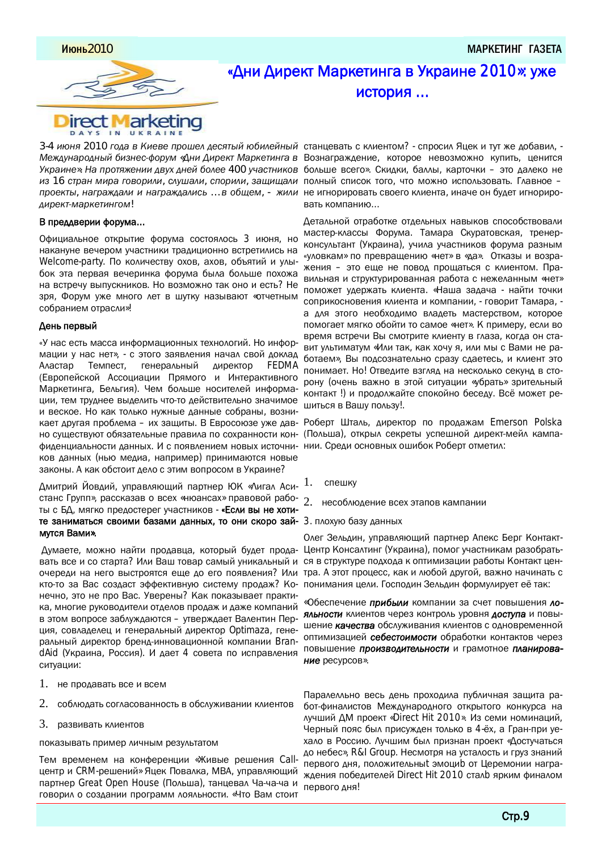<u>Июнь2010 маркетинг газета у соотноощ на соотноощ на соотноощ на соотноощ на соотноощ на соотноощ на соотноощ</u>



## «Дни Директ Маркетинга в Украине 2010»: уже история ...

3-4 июня 2010 года в Киеве прошел десятый юбилейный станцевать с клиентом? - спросил Яцек и тут же добавил, -Международный бизнес-форум «Дни Директ Маркетинга в Вознаграждение, которое невозможно купить, ценится Украине». На протяжении двух дней более 400 участников больше всего». Скидки, баллы, карточки – это далеко не из 16 стран мира говорили, слушали, спорили, защищали полный список того, что можно использовать. Главное − лроекты, награждали и награждались ... в общем, - жили не игнорировать своего клиента, иначе он будет игнориро*ǰǴǼDZǶǾǸǬǼǶDZǾǴǹǯǺǸ!*

#### В преддверии форума...

Официальное открытие форума состоялось 3 июня, но накануне вечером участники традиционно встретились на Welcome-party. По количеству охов, ахов, объятий и улыбок эта первая вечеринка форума была больше похожа на встречу выпускников. Но возможно так оно и есть? Не зря, Форум уже много лет в шутку называют «отчетным собранием отрасли»!

#### День первый

«У нас есть масса информационных технологий. Но информации у нас нет», - с этого заявления начал свой доклад Аластар Темпест, генеральный директор FEDMA (Европейской Ассоциации Прямого и Интерактивного Маркетинга, Бельгия). Чем больше носителей информации, тем труднее выделить что-то действительно значимое и веское. Но как только нужные данные собраны, возникает другая проблема – их защиты. В Евросоюзе уже давно существуют обязательные правила по сохранности конфиденциальности данных. И с появлением новых источни- нии. Среди основных ошибок Роберт отметил: ков данных (нью медиа, например) принимаются новые законы. А как обстоит дело с этим вопросом в Украине?

Дмитрий Йовдий, управляющий партнер ЮК «Лигал Асистанс Групп», рассказав о всех «нюансах» правовой работы с БД, мягко предостерег участников - «Если вы не хотите заниматься своими базами данных, то они скоро зай- 3. плохую базу данных мутся Вами».

Думаете, можно найти продавца, который будет продавать все и со старта? Или Ваш товар самый уникальный и ся в структуре подхода к оптимизации работы Контакт ценочереди на него выстроятся еще до его появления? Или тра. А этот процесс, как и любой другой, важно начинать с кто-то за Вас создаст эффективную систему продаж? Ко- понимания цели. Господин Зельдин формулирует её так: нечно, это не про Вас. Уверены? Как показывает практика, многие руководители отделов продаж и даже компаний в этом вопросе заблуждаются – утверждает Валентин Пер-ЦИЯ, СОВЛАДЕЛЕЦ И ГЕНЕРАЛЬНЫЙ ДИРЕКТОР Optimaza, генеральный директор бренд-инновационной компании BrandAid (Украина, Россия). И дает 4 совета по исправления ситуации:

- $1.$  не продавать все и всем
- 2. СОблюдать согласованность в обслуживании клиентов
- 3. развивать клиентов

показывать пример личным результатом

Тем временем на конференции «Живые решения Callцентр и CRM-решений» Яцек Повалка, MBA, управляющий партнер Great Open House (Польша), танцевал Ча-ча-ча и говорил о создании программ лояльности. «Что Вам стоит

вать компанию...

Детальной отработке отдельных навыков способствовали мастер-классы Форума. Тамара Скуратовская, тренерконсультант (Украина), учила участников форума разным «уловкам» по превращению «нет» в «да». Отказы и возражения – это еще не повод прощаться с клиентом. Правильная и структурированная работа с нежеланным «нет» поможет удержать клиента. «Наша задача - найти точки соприкосновения клиента и компании, - говорит Тамара, а для этого необходимо владеть мастерством, которое помогает мягко обойти то самое «нет». К примеру, если во время встречи Вы смотрите клиенту в глаза, когда он ставит ультиматум «Или так, как хочу я, или мы с Вами не работаем», Вы подсознательно сразу сдаетесь, и клиент это понимает. Но! Отведите взгляд на несколько секунд в сторону (очень важно в этой ситуации «убрать» зрительный контакт !) и продолжайте спокойно беседу. Всё может решиться в Вашу пользу!.

Роберт Шталь, директор по продажам Emerson Polska (Польша), открыл секреты успешной директ-мейл кампа-

- $1.$  спешку
- 2. несоблюдение всех этапов кампании
- 

Олег Зельдин, управляющий партнер Апекс Берг Контакт-Центр Консалтинг (Украина), помог участникам разобрать-

«Обеспечение прибыли компании за счет повышения лояльности клиентов через контроль уровня доступа и повышение **качества** обслуживания клиентов с одновременной оптимизацией себестоимости обработки контактов через повышение производительности и грамотное планирова-Ние ресурсов».

Паралелльно весь день проходила публичная защита работ-финалистов Международного открытого конкурса на лучший ДМ проект «Direct Hit 2010». Из семи номинаций, Черный пояс был присужден только в 4-ёх, а Гран-при уехало в Россию. Лучшим был признан проект «Достучаться до небес», R&I Group. Несмотря на усталость и груз знаний первого дня, положительны эмоцир от Церемонии награждения победителей Direct Hit 2010 сталь ярким финалом первого дня!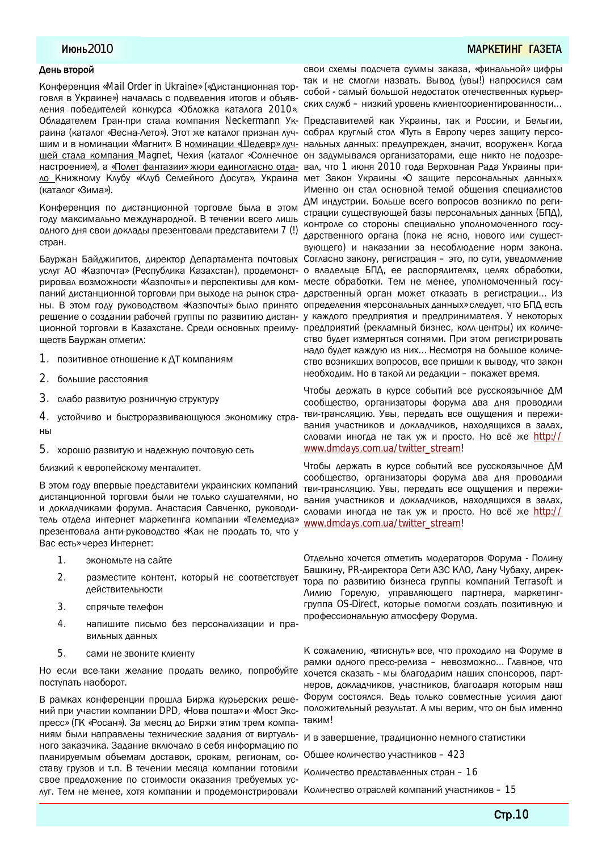#### Июнь2010 МАР<mark>КЕТИНГ ГАЗЕ</mark>ТА

#### День второй

Конференция «Mail Order in Ukraine» («Дистанционная торговля в Украине») началась с подведения итогов и объявления победителей конкурса «Обложка каталога 2010». Обладателем Гран-при стала компания Neckermann Ук- Представителей как Украины, так и России, и Бельгии, раина (каталог «Весна-Лето»). Этот же каталог признан лучшим и в номинации «Магнит». В номинации «Шедевр» лучшей стала компания Magnet, Чехия (каталог «Солнечное настроение»), а «Полет фантазии» жюри единогласно отдало Книжному Клубу «Клуб Семейного Досуга», Украина (каталог «Зима»).

Конференция по дистанционной торговле была в этом году максимально международной. В течении всего лишь ОДНОГО ДНЯ СВОИ ДОКЛАДЫ ПРЕЗЕНТОВАЛИ ПРЕДСТАВИТЕЛИ 7 (!) стран.

Бауржан Байджигитов, директор Департамента почтовых услуг АО «Казпочта» (Республика Казахстан), продемонстрировал возможности «Казпочты» и перспективы для компаний дистанционной торговли при выходе на рынок стра- дарственный орган может отказать в регистрации... Из ны. В этом году руководством «Казпочты» было принято определения «персональных данных» следует, что БПД есть решение о создании рабочей группы по развитию дистан- у каждого предприятия и предпринимателя. У некоторых ционной торговли в Казахстане. Среди основных преимуществ Бауржан отметил:

- 1. позитивное отношение к ДТ компаниям
- 2. большие расстояния
- З. слабо развитую розничную структуру
- 4. устойчиво и быстроразвивающуюся экономику стра-HЫ
- 5. хорошо развитую и надежную почтовую сеть

близкий к европейскому менталитет.

В этом году впервые представители украинских компаний дистанционной торговли были не только слушателями, но и докладчиками форума. Анастасия Савченко, руководи-ТЕЛЬ ОТДЕЛА ИНТЕРНЕТ МАРКЕТИНГА КОМПАНИИ «ТЕЛЕМЕДИА» презентовала анти-руководство «Как не продать то, что у Вас есть» через Интернет:

- 1. экономыте на сайте
- 2. разместите контент, который не соответствует Действительности
- 3. СПРЯЧЬТЕ ТЕЛЕФОН
- 4. напишите письмо без персонализации и правильных данных
- 5. Сами не звоните клиенту

Но если все-таки желание продать велико, попробуйте поступать наоборот.

В рамках конференции прошла Биржа курьерских решений при участии компании DPD, «Нова пошта» и «Мост Экспресс» (ГК «Росан»). За месяц до Биржи этим трем компаниям были направлены технические задания от виртуального заказчика. Задание включало в себя информацию по планируемым объемам доставок, срокам, регионам, составу грузов и т.п. В течении месяца компании готовили свое предложение по стоимости оказания требуемых услуг. Тем не менее, хотя компании и продемонстрировали Количество отраслей компаний участников – 15

свои схемы подсчета суммы заказа, «финальной» цифры так и не смогли назвать. Вывод (увы!) напросился сам собой - самый большой недостаток отечественных курьерских служб – низкий уровень клиентоориентированности...

собрал круглый стол «Путь в Европу через защиту персональных данных: предупрежден, значит, вооружен». Когда он задумывался организаторами, еще никто не подозревал, что 1 июня 2010 года Верховная Рада Украины примет Закон Украины «О зашите персональных данных». Именно он стал основной темой общения специалистов ДМ индустрии. Больше всего вопросов возникло по регистрации существующей базы персональных данных (БПД), КОНТРОЛЕ СО СТОРОНЫ СПЕЦИАЛЬНО УПОЛНОМОЧЕННОГО ГОСУ-ДАРСТВЕННОГО ОРГАНА (ПОКА НЕ ЯСНО, НОВОГО ИЛИ СУЩЕСТвующего) и наказании за несоблюдение норм закона. Согласно закону, регистрация – это, по сути, уведомление о владельце БПД, ее распорядителях, целях обработки, месте обработки. Тем не менее, уполномоченный госупредприятий (рекламный бизнес, колл-центры) их количество будет измеряться сотнями. При этом регистрировать надо будет каждую из них... Несмотря на большое количе-СТВО ВОЗНИКШИХ ВОПРОСОВ, ВСЕ ПРИШЛИ К ВЫВОДУ, ЧТО ЗАКОН необходим. Но в такой ли редакции – покажет время.

Чтобы держать в курсе событий все русскоязычное ДМ сообщество, организаторы форума два дня проводили тви-трансляцию. Увы, передать все ощущения и переживания участников и докладчиков, находящихся в залах, словами иногда не так уж и просто. Но всё же http:// [www.dmdays.com.ua/twitter\\_stream!](http://www.dmdays.com.ua/twitter_stream!)

Чтобы держать в курсе событий все русскоязычное ДМ сообщество, организаторы форума два дня проводили тви-трансляцию. Увы, передать все ощущения и переживания участников и докладчиков, находящихся в залах, словами иногда не так уж и просто. Но всё же http:// [www.dmdays.com.ua/twitter\\_stream!](http://www.dmdays.com.ua/twitter_stream!)

Отдельно хочется отметить модераторов Форума - Полину Башкину, PR-директора Сети АЗС КЛО, Лану Чубаху, директора по развитию бизнеса группы компаний Terrasoft и Лилию Горелую, управляющего партнера, маркетинггруппа OS-Direct, которые помогли создать позитивную и профессиональную атмосферу Форума.

К сожалению, «втиснуть» все, что проходило на Форуме в рамки одного пресс-релиза – невозможно... Главное, что хочется сказать - мы благодарим наших спонсоров, партнеров, докладчиков, участников, благодаря которым наш Форум состоялся. Ведь только совместные усилия дают положительный результат. А мы верим, что он был именно таким!

И в завершение, традиционно немного статистики

Общее количество участников – 423

Количество представленных стран – 16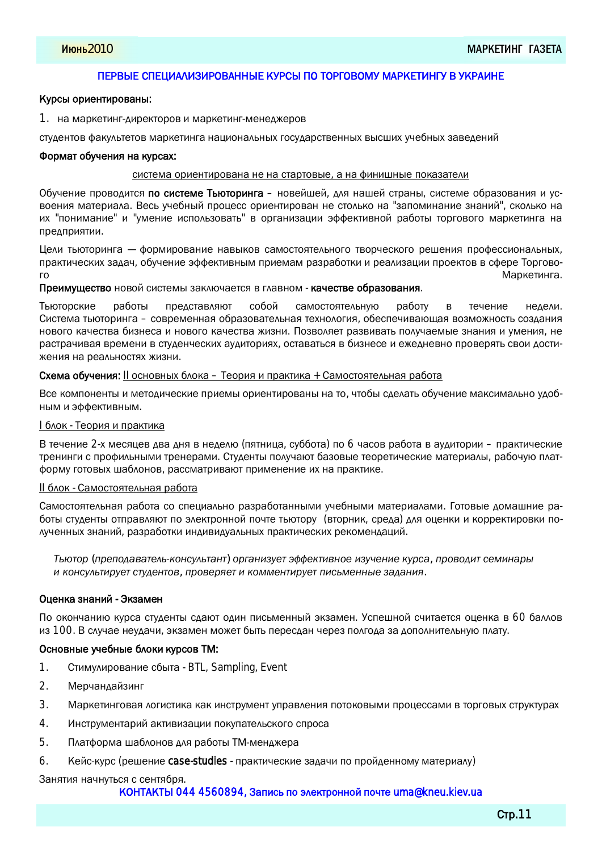#### ПЕРВЫЕ СПЕЦИАЛИЗИРОВАННЫЕ КУРСЫ ПО ТОРГОВОМУ МАРКЕТИНГУ В УКРАИНЕ

#### Курсы ориентированы:

1. на маркетинг-директоров и маркетинг-менеджеров

студентов факультетов маркетинга национальных государственных высших учебных заведений

#### Формат обучения на курсах:

#### система ориентирована не на стартовые, а на финишные показатели

Обучение проводится по системе Тьюторинга - новейшей, для нашей страны, системе образования и усвоения материала. Весь учебный процесс ориентирован не столько на "запоминание знаний", сколько на их "понимание" и "умение использовать" в организации эффективной работы торгового маркетинга на предприятии.

Цели тьюторинга – формирование навыков самостоятельного творческого решения профессиональных, практических задач, обучение эффективным приемам разработки и реализации проектов в сфере Торгового в последните существенность и производит в составлении с производительность и при открыти Маркетинга.

Преимущество новой системы заключается в главном - качестве образования.

Тьюторские работы представляют собой самостоятельную работу в течение недели. Система тьюторинга – современная образовательная технология, обеспечивающая возможность создания нового качества бизнеса и нового качества жизни. Позволяет развивать получаемые знания и умения, не растрачивая времени в студенческих аудиториях, оставаться в бизнесе и ежедневно проверять свои достижения на реальностях жизни.

#### Схема обучения: II основных блока – Теория и практика + Самостоятельная работа

Все компоненты и методические приемы ориентированы на то, чтобы сделать обучение максимально удобным и эффективным.

#### <u> I блок - Теория и практика</u>

В течение 2-х месяцев два дня в неделю (пятница, суббота) по 6 часов работа в аудитории – практические тренинги с профильными тренерами. Студенты получают базовые теоретические материалы, рабочую платформу готовых шаблонов, рассматривают применение их на практике.

#### II блок - Самостоятельная работа

Самостоятельная работа со специально разработанными учебными материалами. Готовые домашние работы студенты отправляют по электронной почте тьютору (вторник, среда) для оценки и корректировки по-ЛУЧЕННЫХ ЗНАНИЙ, разработки индивидуальных практических рекомендаций.

*ǞȈȊǾǺǼ (ǻǼDZǻǺǰǬǮǬǾDZǷȈǶǺǹǽǿǷȈǾǬǹǾ) ǺǼǯǬǹǴdzǿDZǾȉȀȀDZǶǾǴǮǹǺDZǴdzǿȃDZǹǴDZǶǿǼǽǬ, ǻǼǺǮǺǰǴǾǽDZǸǴǹǬǼȇ ǴǶǺǹǽǿǷȈǾǴǼǿDZǾǽǾǿǰDZǹǾǺǮ, ǻǼǺǮDZǼȋDZǾǴǶǺǸǸDZǹǾǴǼǿDZǾǻǴǽȈǸDZǹǹȇDZdzǬǰǬǹǴȋ.*

#### Оценка знаний - Экзамен

По окончанию курса студенты сдают один письменный экзамен. Успешной считается оценка в 60 баллов из 100. В случае неудачи, экзамен может быть пересдан через полгода за дополнительную плату.

#### Основные учебные блоки курсов ТМ:

- 1. Стимулирование сбыта BTL, Sampling, Event
- 2. Мерчандайзинг
- 3. Маркетинговая логистика как инструмент управления потоковыми процессами в торговых структурах
- 4. Инструментарий активизации покупательского спроса
- 5. Платформа шаблонов для работы ТМ-менджера
- 6. Кейс-курс (решение case-studies практические задачи по пройденному материалу)

### Занятия начнуться с сентября.

#### КОНТАКТЫ 044 4560894, Запись по электронной почте [uma@kneu.kiev.ua](mailto:uma@kneu.kiev.ua)